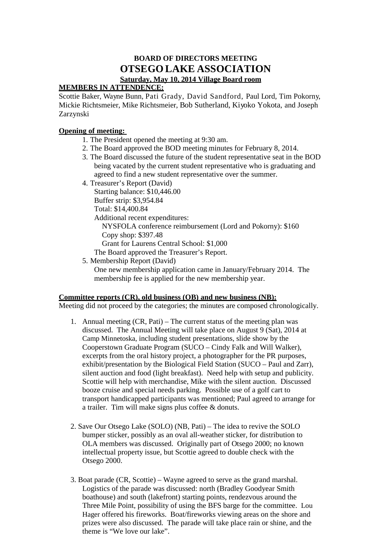## **BOARD OF DIRECTORS MEETING OTSEGO LAKE ASSOCIATION Saturday, May 10, 2014 Village Board room**

## **MEMBERS IN ATTENDENCE:**

Scottie Baker, Wayne Bunn, Pati Grady, David Sandford, Paul Lord, Tim Pokorny, Mickie Richtsmeier, Mike Richtsmeier, Bob Sutherland, Kiyoko Yokota, and Joseph Zarzynski

## **Opening of meeting:**

- 1. The President opened the meeting at 9:30 am.
- 2. The Board approved the BOD meeting minutes for February 8, 2014.
- 3. The Board discussed the future of the student representative seat in the BOD being vacated by the current student representative who is graduating and agreed to find a new student representative over the summer.
- 4. Treasurer's Report (David)

Starting balance: \$10,446.00 Buffer strip: \$3,954.84 Total: \$14,400.84 Additional recent expenditures: NYSFOLA conference reimbursement (Lord and Pokorny): \$160 Copy shop: \$397.48 Grant for Laurens Central School: \$1,000

- The Board approved the Treasurer's Report.
- 5. Membership Report (David)

One new membership application came in January/February 2014. The membership fee is applied for the new membership year.

## **Committee reports (CR), old business (OB) and new business (NB):**

Meeting did not proceed by the categories; the minutes are composed chronologically.

- 1. Annual meeting (CR, Pati) The current status of the meeting plan was discussed. The Annual Meeting will take place on August 9 (Sat), 2014 at Camp Minnetoska, including student presentations, slide show by the Cooperstown Graduate Program (SUCO – Cindy Falk and Will Walker), excerpts from the oral history project, a photographer for the PR purposes, exhibit/presentation by the Biological Field Station (SUCO – Paul and Zarr), silent auction and food (light breakfast). Need help with setup and publicity. Scottie will help with merchandise, Mike with the silent auction. Discussed booze cruise and special needs parking. Possible use of a golf cart to transport handicapped participants was mentioned; Paul agreed to arrange for a trailer. Tim will make signs plus coffee & donuts.
- 2. Save Our Otsego Lake (SOLO) (NB, Pati) The idea to revive the SOLO bumper sticker, possibly as an oval all-weather sticker, for distribution to OLA members was discussed. Originally part of Otsego 2000; no known intellectual property issue, but Scottie agreed to double check with the Otsego 2000.
- 3. Boat parade (CR, Scottie) Wayne agreed to serve as the grand marshal. Logistics of the parade was discussed: north (Bradley Goodyear Smith boathouse) and south (lakefront) starting points, rendezvous around the Three Mile Point, possibility of using the BFS barge for the committee. Lou Hager offered his fireworks. Boat/fireworks viewing areas on the shore and prizes were also discussed. The parade will take place rain or shine, and the theme is "We love our lake".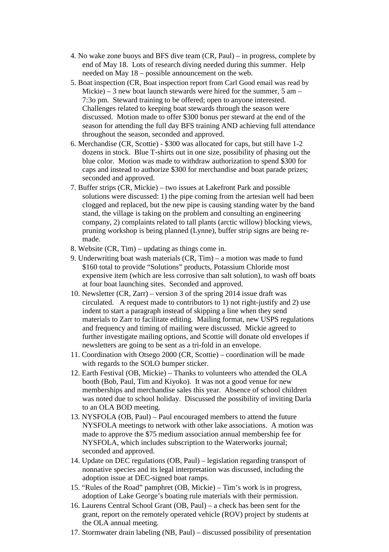- 4. No wake zone buoys and BFS dive team (CR, Paul) in progress, complete by end of May 18. Lots of research diving needed during this summer. Help needed on May 18 – possible announcement on the web.
- 5. Boat inspection (CR, Boat inspection report from Carl Good email was read by Mickie) – 3 new boat launch stewards were hired for the summer, 5 am – 7:3o pm. Steward training to be offered; open to anyone interested. Challenges related to keeping boat stewards through the season were discussed. Motion made to offer \$300 bonus per steward at the end of the season for attending the full day BFS training AND achieving full attendance throughout the season, seconded and approved.
- 6. Merchandise (CR, Scottie) \$300 was allocated for caps, but still have 1-2 dozens in stock. Blue T-shirts out in one size, possibility of phasing out the blue color. Motion was made to withdraw authorization to spend \$300 for caps and instead to authorize \$300 for merchandise and boat parade prizes; seconded and approved.
- 7. Buffer strips (CR, Mickie) two issues at Lakefront Park and possible solutions were discussed: 1) the pipe coming from the artesian well had been clogged and replaced, but the new pipe is causing standing water by the band stand, the village is taking on the problem and consulting an engineering company, 2) complaints related to tall plants (arctic willow) blocking views, pruning workshop is being planned (Lynne), buffer strip signs are being remade.
- 8. Website (CR, Tim) updating as things come in.
- 9. Underwriting boat wash materials (CR, Tim) a motion was made to fund \$160 total to provide "Solutions" products, Potassium Chloride most expensive item (which are less corrosive than salt solution), to wash off boats at four boat launching sites. Seconded and approved.
- 10. Newsletter (CR, Zarr) version 3 of the spring 2014 issue draft was circulated. A request made to contributors to 1) not right-justify and 2) use indent to start a paragraph instead of skipping a line when they send materials to Zarr to facilitate editing. Mailing format, new USPS regulations and frequency and timing of mailing were discussed. Mickie agreed to further investigate mailing options, and Scottie will donate old envelopes if newsletters are going to be sent as a tri-fold in an envelope.
- 11. Coordination with Otsego 2000 (CR, Scottie) coordination will be made with regards to the SOLO bumper sticker.
- 12. Earth Festival (OB, Mickie) Thanks to volunteers who attended the OLA booth (Bob, Paul, Tim and Kiyoko). It was not a good venue for new memberships and merchandise sales this year. Absence of school children was noted due to school holiday. Discussed the possibility of inviting Darla to an OLA BOD meeting.
- 13. NYSFOLA (OB, Paul) Paul encouraged members to attend the future NYSFOLA meetings to network with other lake associations. A motion was made to approve the \$75 medium association annual membership fee for NYSFOLA, which includes subscription to the Waterworks journal; seconded and approved.
- 14. Update on DEC regulations (OB, Paul) legislation regarding transport of nonnative species and its legal interpretation was discussed, including the adoption issue at DEC-signed boat ramps.
- 15. "Rules of the Road" pamphret (OB, Mickie) Tim's work is in progress, adoption of Lake George's boating rule materials with their permission.
- 16. Laurens Central School Grant (OB, Paul) a check has been sent for the grant, report on the remotely operated vehicle (ROV) project by students at the OLA annual meeting.
- 17. Stormwater drain labeling (NB, Paul) discussed possibility of presentation